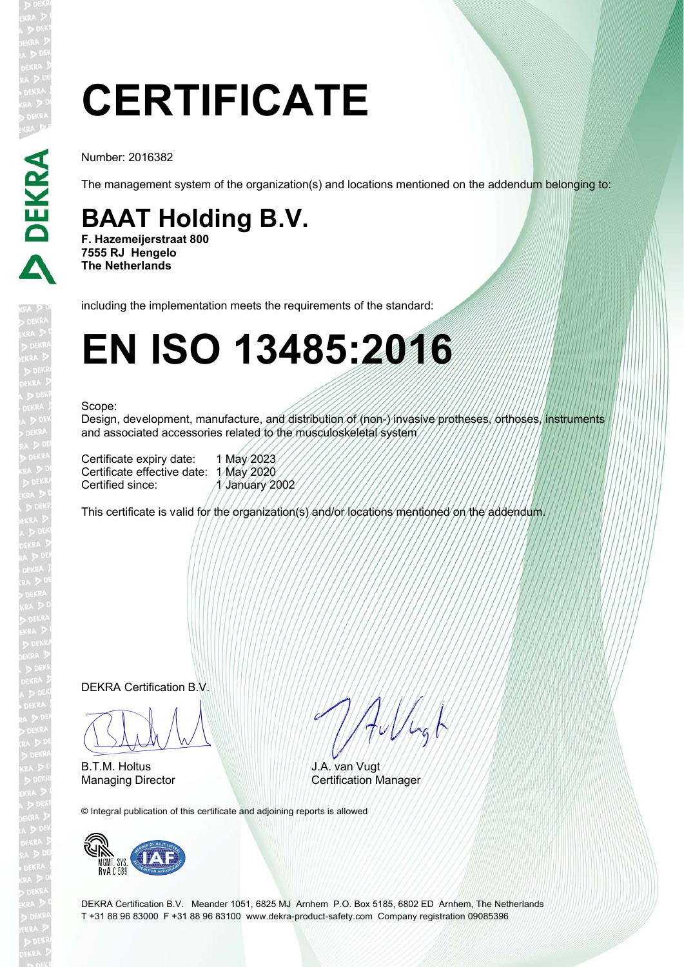# **CERTIFICATE**

Number: 2016382

D DEKRA

The management system of the organization(s) and locations mentioned on the addendum belonging to:

### **BAAT Holding B.V.**

**F. Hazemeijerstraat 800 7555 RJ Hengelo The Netherlands**

including the implementation meets the requirements of the standard:

## **EN ISO 13485:2016**

#### Scope:

Design, development, manufacture, and distribution of (non-) invasive protheses, orthoses, instruments and associated accessories related to the musculoskeletal system

Certificate expiry date: 1 May 2023 Certificate effective date: 1 May 2020<br>Certified since: 1 January 2 1 January 2002

This certificate is valid for the organization(s) and/or locations mentioned on the addendum.

DEKRA Certification B.V.

 $\sqrt{100}$ 

B.T.M. Holtus

HuVlagt

J.A. van Vugt Managing Director **Certification Manager** 

© Integral publication of this certificate and adjoining reports is allowed



DEKRA Certification B.V. Meander 1051, 6825 MJ Arnhem P.O. Box 5185, 6802 ED Arnhem, The Netherlands T +31 88 96 83000 F +31 88 96 83100 www.dekra-product-safety.com Company registration 09085396